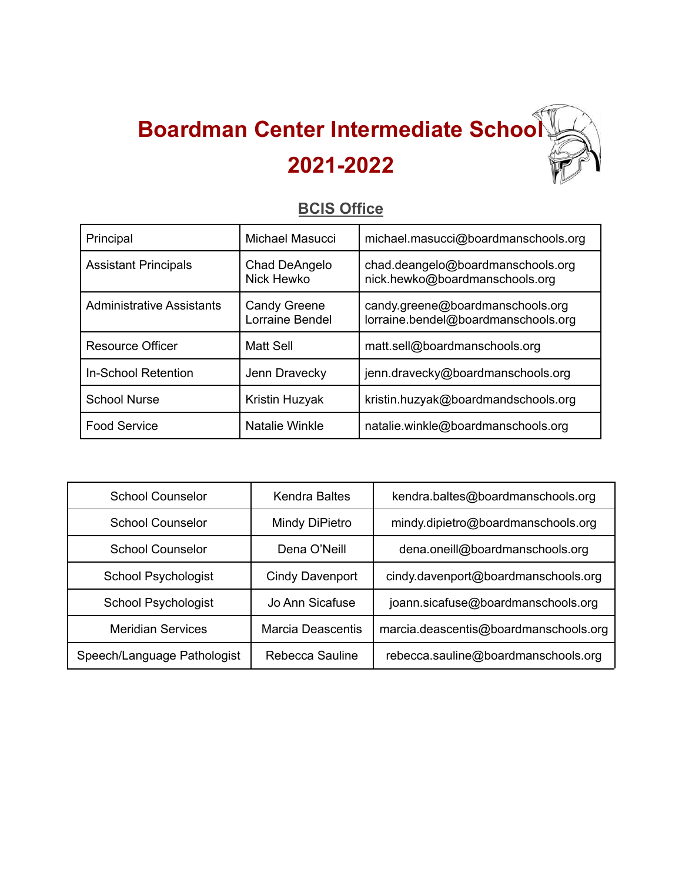## **Boardman Center Intermediate School 2021-2022**

## **BCIS Office**

| Principal                        | Michael Masucci                        | michael.masucci@boardmanschools.org                                     |
|----------------------------------|----------------------------------------|-------------------------------------------------------------------------|
| <b>Assistant Principals</b>      | Chad DeAngelo<br>Nick Hewko            | chad.deangelo@boardmanschools.org<br>nick.hewko@boardmanschools.org     |
| <b>Administrative Assistants</b> | <b>Candy Greene</b><br>Lorraine Bendel | candy.greene@boardmanschools.org<br>lorraine.bendel@boardmanschools.org |
| Resource Officer                 | <b>Matt Sell</b>                       | matt.sell@boardmanschools.org                                           |
| <b>In-School Retention</b>       | Jenn Dravecky                          | jenn.dravecky@boardmanschools.org                                       |
| <b>School Nurse</b>              | Kristin Huzyak                         | kristin.huzyak@boardmandschools.org                                     |
| <b>Food Service</b>              | Natalie Winkle                         | natalie.winkle@boardmanschools.org                                      |

| <b>School Counselor</b>     | <b>Kendra Baltes</b>   | kendra.baltes@boardmanschools.org     |
|-----------------------------|------------------------|---------------------------------------|
| <b>School Counselor</b>     | Mindy DiPietro         | mindy.dipietro@boardmanschools.org    |
| <b>School Counselor</b>     | Dena O'Neill           | dena.oneill@boardmanschools.org       |
| School Psychologist         | <b>Cindy Davenport</b> | cindy.davenport@boardmanschools.org   |
| School Psychologist         | Jo Ann Sicafuse        | joann.sicafuse@boardmanschools.org    |
| <b>Meridian Services</b>    | Marcia Deascentis      | marcia.deascentis@boardmanschools.org |
| Speech/Language Pathologist | Rebecca Sauline        | rebecca.sauline@boardmanschools.org   |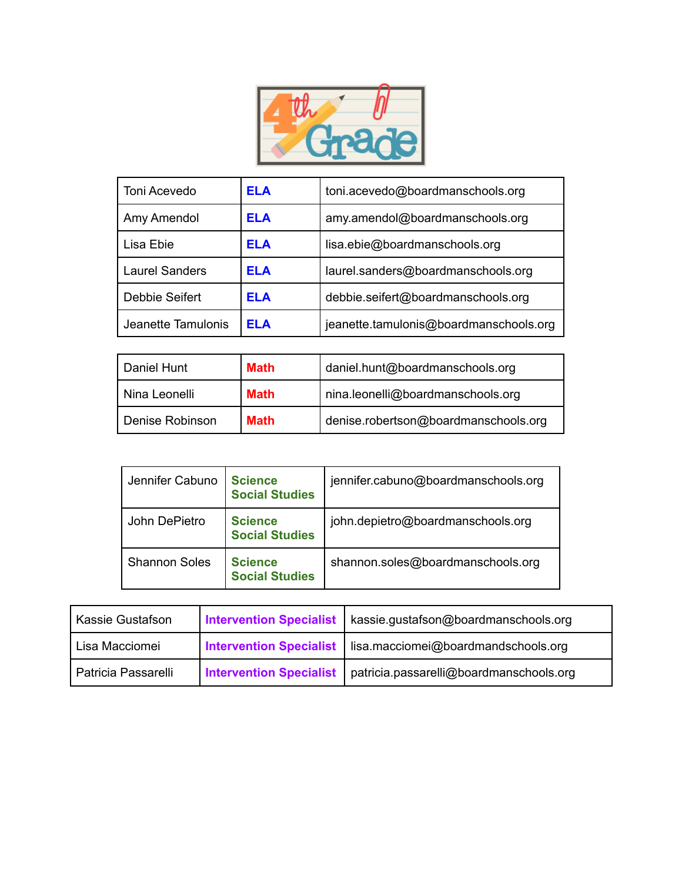

| Toni Acevedo          | ELA | toni.acevedo@boardmanschools.org       |
|-----------------------|-----|----------------------------------------|
| Amy Amendol           | ELA | amy.amendol@boardmanschools.org        |
| Lisa Ebie             | ELA | lisa.ebie@boardmanschools.org          |
| <b>Laurel Sanders</b> | ELA | laurel.sanders@boardmanschools.org     |
| Debbie Seifert        | ELA | debbie.seifert@boardmanschools.org     |
| Jeanette Tamulonis    | ELA | jeanette.tamulonis@boardmanschools.org |

| l Daniel Hunt   | Math        | daniel.hunt@boardmanschools.org      |
|-----------------|-------------|--------------------------------------|
| l Nina Leonelli | <b>Math</b> | nina.leonelli@boardmanschools.org    |
| Denise Robinson | Math        | denise.robertson@boardmanschools.org |

| Jennifer Cabuno      | <b>Science</b><br><b>Social Studies</b> | jennifer.cabuno@boardmanschools.org |
|----------------------|-----------------------------------------|-------------------------------------|
| John DePietro        | <b>Science</b><br><b>Social Studies</b> | john.depietro@boardmanschools.org   |
| <b>Shannon Soles</b> | <b>Science</b><br><b>Social Studies</b> | shannon.soles@boardmanschools.org   |

| Kassie Gustafson    | <b>Intervention Specialist</b> | kassie.gustafson@boardmanschools.org    |
|---------------------|--------------------------------|-----------------------------------------|
| Lisa Macciomei      | <b>Intervention Specialist</b> | lisa.macciomei@boardmandschools.org     |
| Patricia Passarelli | <b>Intervention Specialist</b> | patricia.passarelli@boardmanschools.org |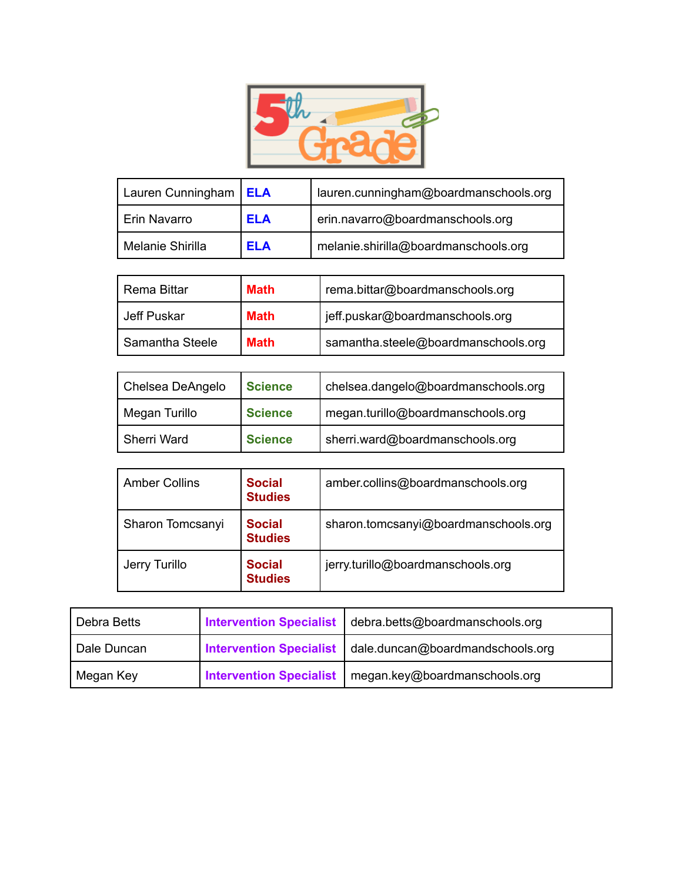

| Lauren Cunningham   ELA |            | lauren.cunningham@boardmanschools.org |
|-------------------------|------------|---------------------------------------|
| Erin Navarro            | <b>ELA</b> | erin.navarro@boardmanschools.org      |
| Melanie Shirilla        | <b>ELA</b> | melanie.shirilla@boardmanschools.org  |

| Rema Bittar     | <b>Math</b> | rema.bittar@boardmanschools.org     |
|-----------------|-------------|-------------------------------------|
| Jeff Puskar     | <b>Math</b> | jeff.puskar@boardmanschools.org     |
| Samantha Steele | <b>Math</b> | samantha.steele@boardmanschools.org |

| Chelsea DeAngelo   | <b>Science</b> | chelsea.dangelo@boardmanschools.org |
|--------------------|----------------|-------------------------------------|
| Megan Turillo      | <b>Science</b> | megan.turillo@boardmanschools.org   |
| <b>Sherri Ward</b> | <b>Science</b> | sherri.ward@boardmanschools.org     |

| <b>Amber Collins</b> | <b>Social</b><br><b>Studies</b> | amber.collins@boardmanschools.org    |
|----------------------|---------------------------------|--------------------------------------|
| Sharon Tomcsanyi     | <b>Social</b><br><b>Studies</b> | sharon.tomcsanyi@boardmanschools.org |
| Jerry Turillo        | <b>Social</b><br><b>Studies</b> | jerry.turillo@boardmanschools.org    |

| Debra Betts | <b>Intervention Specialist</b> | debra.betts@boardmanschools.org  |
|-------------|--------------------------------|----------------------------------|
| Dale Duncan | <b>Intervention Specialist</b> | dale.duncan@boardmandschools.org |
| Megan Key   | <b>Intervention Specialist</b> | megan.key@boardmanschools.org    |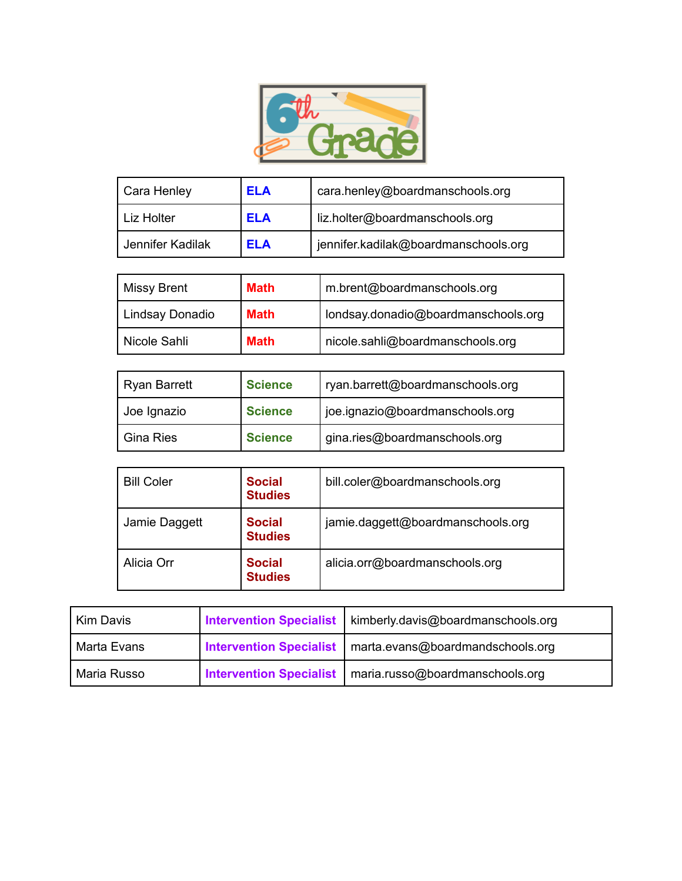

| Cara Henley      | <b>ELA</b> | cara.henley@boardmanschools.org      |
|------------------|------------|--------------------------------------|
| Liz Holter       | <b>ELA</b> | liz.holter@boardmanschools.org       |
| Jennifer Kadilak | ELA        | jennifer.kadilak@boardmanschools.org |

| Missy Brent     | <b>Math</b> | m.brent@boardmanschools.org         |
|-----------------|-------------|-------------------------------------|
| Lindsay Donadio | <b>Math</b> | londsay.donadio@boardmanschools.org |
| Nicole Sahli    | <b>Math</b> | nicole.sahli@boardmanschools.org    |

| Ryan Barrett     | <b>Science</b> | ryan.barrett@boardmanschools.org |
|------------------|----------------|----------------------------------|
| Joe Ignazio      | <b>Science</b> | joe.ignazio@boardmanschools.org  |
| <b>Gina Ries</b> | <b>Science</b> | gina.ries@boardmanschools.org    |

| <b>Bill Coler</b> | <b>Social</b><br><b>Studies</b> | bill.coler@boardmanschools.org    |
|-------------------|---------------------------------|-----------------------------------|
| Jamie Daggett     | <b>Social</b><br><b>Studies</b> | jamie.daggett@boardmanschools.org |
| Alicia Orr        | <b>Social</b><br><b>Studies</b> | alicia.orr@boardmanschools.org    |

| Kim Davis     | <b>Intervention Specialist</b> | kimberly.davis@boardmanschools.org                         |
|---------------|--------------------------------|------------------------------------------------------------|
| l Marta Evans |                                | Intervention Specialist   marta.evans@boardmandschools.org |
| Maria Russo   |                                | Intervention Specialist   maria.russo@boardmanschools.org  |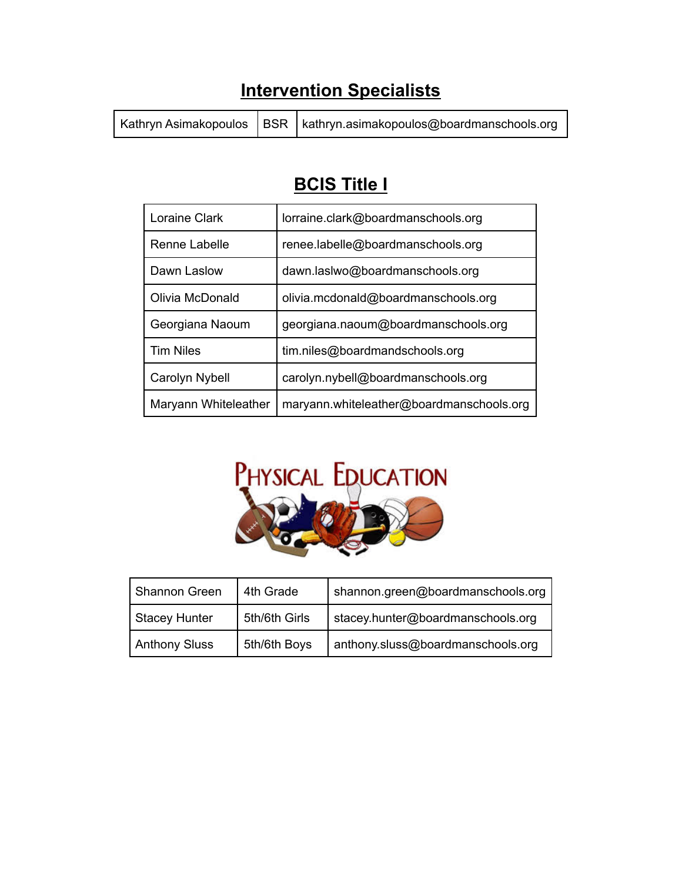## **Intervention Specialists**

Kathryn Asimakopoulos | BSR | kathryn.asimakopoulos@boardmanschools.org

## **BCIS Title I**

| Loraine Clark        | lorraine.clark@boardmanschools.org       |
|----------------------|------------------------------------------|
| Renne Labelle        | renee.labelle@boardmanschools.org        |
| Dawn Laslow          | dawn.laslwo@boardmanschools.org          |
| Olivia McDonald      | olivia.mcdonald@boardmanschools.org      |
| Georgiana Naoum      | georgiana.naoum@boardmanschools.org      |
| <b>Tim Niles</b>     | tim.niles@boardmandschools.org           |
| Carolyn Nybell       | carolyn.nybell@boardmanschools.org       |
| Maryann Whiteleather | maryann.whiteleather@boardmanschools.org |



| Shannon Green        | 4th Grade     | shannon.green@boardmanschools.org |
|----------------------|---------------|-----------------------------------|
| <b>Stacey Hunter</b> | 5th/6th Girls | stacey.hunter@boardmanschools.org |
| <b>Anthony Sluss</b> | 5th/6th Boys  | anthony.sluss@boardmanschools.org |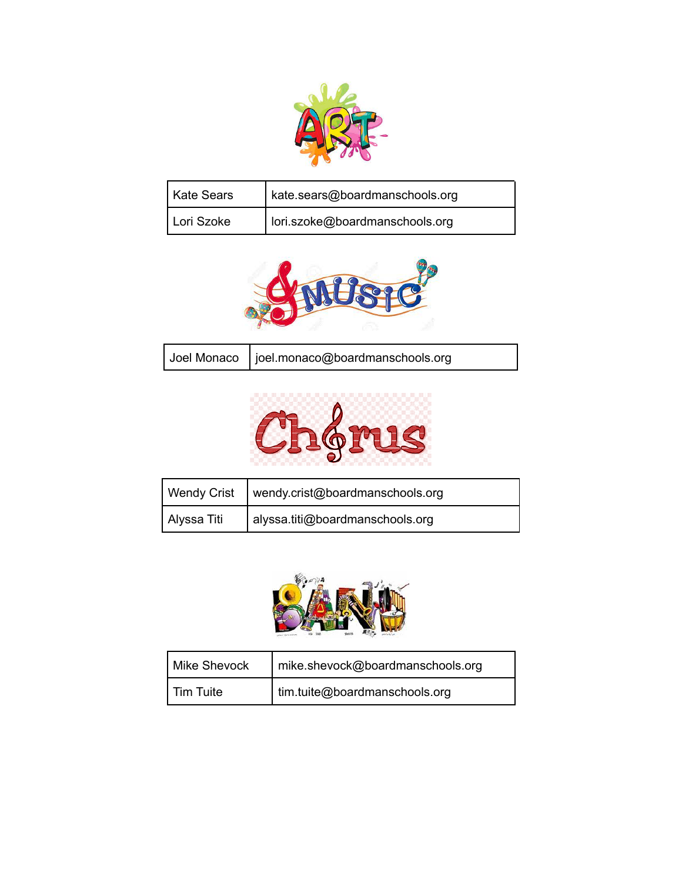

| Kate Sears | kate.sears@boardmanschools.org |
|------------|--------------------------------|
| Lori Szoke | lori.szoke@boardmanschools.org |



| Joel Monaco   joel.monaco@boardmanschools.org |
|-----------------------------------------------|
|-----------------------------------------------|



| <b>Wendy Crist</b> | wendy.crist@boardmanschools.org |
|--------------------|---------------------------------|
| Alyssa Titi        | alyssa.titi@boardmanschools.org |



| Mike Shevock | mike.shevock@boardmanschools.org |
|--------------|----------------------------------|
| l Tim Tuite  | tim.tuite@boardmanschools.org    |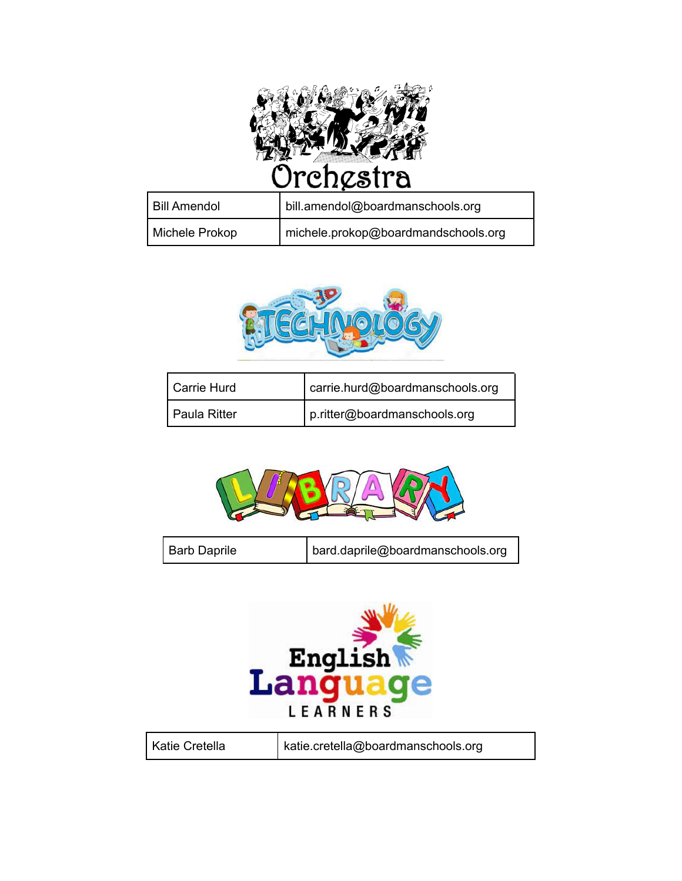

| Bill Amendol   | bill.amendol@boardmanschools.org    |
|----------------|-------------------------------------|
| Michele Prokop | michele.prokop@boardmandschools.org |



| Carrie Hurd  | carrie.hurd@boardmanschools.org |
|--------------|---------------------------------|
| Paula Ritter | p.ritter@boardmanschools.org    |



| <b>Barb Daprile</b> | bard.daprile@boardmanschools.org |
|---------------------|----------------------------------|
|                     |                                  |



| Katie Cretella | katie.cretella@boardmanschools.org |
|----------------|------------------------------------|
|                |                                    |